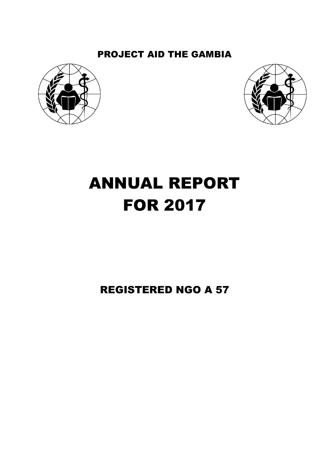# PROJECT AID THE GAMBIA





# ANNUAL REPORT FOR 2017

# REGISTERED NGO A 57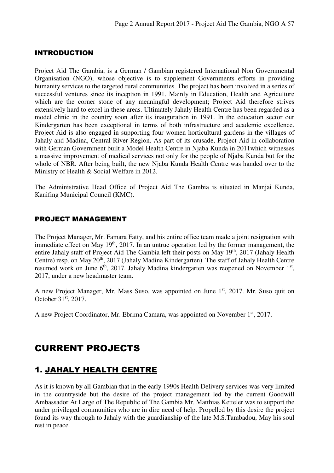#### INTRODUCTION

Project Aid The Gambia, is a German / Gambian registered International Non Governmental Organisation (NGO), whose objective is to supplement Governments efforts in providing humanity services to the targeted rural communities. The project has been involved in a series of successful ventures since its inception in 1991. Mainly in Education, Health and Agriculture which are the corner stone of any meaningful development; Project Aid therefore strives extensively hard to excel in these areas. Ultimately Jahaly Health Centre has been regarded as a model clinic in the country soon after its inauguration in 1991. In the education sector our Kindergarten has been exceptional in terms of both infrastructure and academic excellence. Project Aid is also engaged in supporting four women horticultural gardens in the villages of Jahaly and Madina, Central River Region. As part of its crusade, Project Aid in collaboration with German Government built a Model Health Centre in Njaba Kunda in 2011which witnesses a massive improvement of medical services not only for the people of Njaba Kunda but for the whole of NBR. After being built, the new Njaba Kunda Health Centre was handed over to the Ministry of Health & Social Welfare in 2012.

The Administrative Head Office of Project Aid The Gambia is situated in Manjai Kunda, Kanifing Municipal Council (KMC).

#### PROJECT MANAGEMENT

The Project Manager, Mr. Famara Fatty, and his entire office team made a joint resignation with immediate effect on May  $19<sup>th</sup>$ , 2017. In an untrue operation led by the former management, the entire Jahaly staff of Project Aid The Gambia left their posts on May 19<sup>th</sup>, 2017 (Jahaly Health Centre) resp. on May 20<sup>th</sup>, 2017 (Jahaly Madina Kindergarten). The staff of Jahaly Health Centre resumed work on June  $6<sup>th</sup>$ , 2017. Jahaly Madina kindergarten was reopened on November  $1<sup>st</sup>$ , 2017, under a new headmaster team.

A new Project Manager, Mr. Mass Suso, was appointed on June 1<sup>st</sup>, 2017. Mr. Suso quit on October 31<sup>st</sup>, 2017.

A new Project Coordinator, Mr. Ebrima Camara, was appointed on November 1<sup>st</sup>, 2017.

# CURRENT PROJECTS

#### 1. JAHALY HEALTH CENTRE

As it is known by all Gambian that in the early 1990s Health Delivery services was very limited in the countryside but the desire of the project management led by the current Goodwill Ambassador At Large of The Republic of The Gambia Mr. Matthias Ketteler was to support the under privileged communities who are in dire need of help. Propelled by this desire the project found its way through to Jahaly with the guardianship of the late M.S.Tambadou, May his soul rest in peace.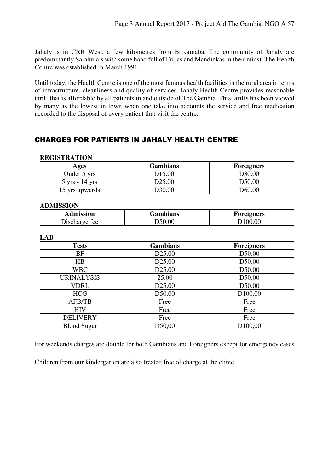Jahaly is in CRR West, a few kilometres from Brikamaba. The community of Jahaly are predominantly Sarahulais with some hand full of Fullas and Mandinkas in their midst. The Health Centre was established in March 1991.

Until today, the Health Centre is one of the most famous health facilities in the rural area in terms of infrastructure, cleanliness and quality of services. Jahaly Health Centre provides reasonable tariff that is affordable by all patients in and outside of The Gambia. This tariffs has been viewed by many as the lowest in town when one take into accounts the service and free medication accorded to the disposal of every patient that visit the centre.

#### CHARGES FOR PATIENTS IN JAHALY HEALTH CENTRE

#### **REGISTRATION**

| Ages                             | <b>Gambians</b>    | <b>Foreigners</b> |
|----------------------------------|--------------------|-------------------|
| Under 5 yrs                      | D <sub>15.00</sub> | D30.00            |
| $5 \text{ yrs} - 14 \text{ yrs}$ | D <sub>25.00</sub> | D50.00            |
| 15 yrs upwards                   | D <sub>30.00</sub> | D60.00            |

#### **ADMISSION**

| Admission     | Fambians | Foreigners |  |  |
|---------------|----------|------------|--|--|
| Discharge fee | D50.00   |            |  |  |

#### **LAB**

| <b>Tests</b>       | <b>Gambians</b>    | <b>Foreigners</b>   |
|--------------------|--------------------|---------------------|
| BF                 | D <sub>25.00</sub> | D50.00              |
| HB                 | D <sub>25.00</sub> | D50.00              |
| <b>WBC</b>         | D <sub>25.00</sub> | D <sub>50.00</sub>  |
| <b>URINALYSIS</b>  | 25.00              | D50.00              |
| <b>VDRL</b>        | D <sub>25.00</sub> | D50.00              |
| <b>HCG</b>         | D50.00             | D <sub>100.00</sub> |
| <b>AFB/TB</b>      | Free               | Free                |
| <b>HIV</b>         | Free               | Free                |
| <b>DELIVERY</b>    | Free               | Free                |
| <b>Blood Sugar</b> | D50,00             | D <sub>100,00</sub> |

For weekends charges are double for both Gambians and Foreigners except for emergency cases

Children from our kindergarten are also treated free of charge at the clinic.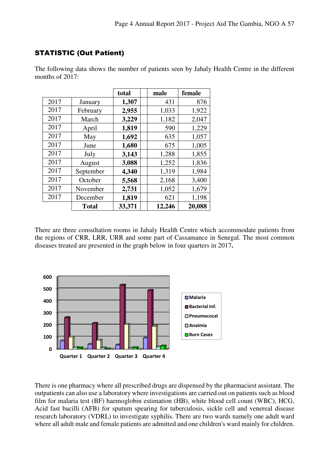#### STATISTIC (Out Patient)

|      |              | total  | male   | female |
|------|--------------|--------|--------|--------|
| 2017 | January      | 1,307  | 431    | 876    |
| 2017 | February     | 2,955  | 1,033  | 1,922  |
| 2017 | March        | 3,229  | 1,182  | 2,047  |
| 2017 | April        | 1,819  | 590    | 1,229  |
| 2017 | May          | 1,692  | 635    | 1,057  |
| 2017 | June         | 1,680  | 675    | 1,005  |
| 2017 | July         | 3,143  | 1,288  | 1,855  |
| 2017 | August       | 3,088  | 1,252  | 1,836  |
| 2017 | September    | 4,340  | 1,319  | 1,984  |
| 2017 | October      | 5,568  | 2,168  | 3,400  |
| 2017 | November     | 2,731  | 1,052  | 1,679  |
| 2017 | December     | 1,819  | 621    | 1,198  |
|      | <b>Total</b> | 33,371 | 12,246 | 20,088 |

The following data shows the number of patients seen by Jahaly Health Centre in the different months of 2017:

There are three consultation rooms in Jahaly Health Centre which accommodate patients from the regions of CRR, LRR, URR and some part of Cassamance in Senegal. The most common diseases treated are presented in the graph below in four quarters in 2017**.**



There is one pharmacy where all prescribed drugs are dispensed by the pharmaciest assistant. The outpatients can also use a laboratory where investigations are carried out on patients such as blood film for malaria test (BF) haemoglobin estimation (HB), white blood cell count (WBC), HCG, Acid fast bacilli (AFB) for sputum spearing for tuberculosis, sickle cell and venereal disease research laboratory (VDRL) to investigate syphilis. There are two wards namely one adult ward where all adult male and female patients are admitted and one children's ward mainly for children.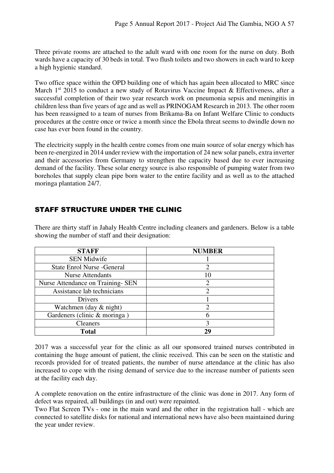Three private rooms are attached to the adult ward with one room for the nurse on duty. Both wards have a capacity of 30 beds in total. Two flush toilets and two showers in each ward to keep a high hygienic standard.

Two office space within the OPD building one of which has again been allocated to MRC since March  $1<sup>st</sup>$  2015 to conduct a new study of Rotavirus Vaccine Impact & Effectiveness, after a successful completion of their two year research work on pneumonia sepsis and meningitis in children less than five years of age and as well as PRINOGAM Research in 2013. The other room has been reassigned to a team of nurses from Brikama-Ba on Infant Welfare Clinic to conducts procedures at the centre once or twice a month since the Ebola threat seems to dwindle down no case has ever been found in the country.

The electricity supply in the health centre comes from one main source of solar energy which has been re-energized in 2014 under review with the importation of 24 new solar panels, extra inverter and their accessories from Germany to strengthen the capacity based due to ever increasing demand of the facility. These solar energy source is also responsible of pumping water from two boreholes that supply clean pipe born water to the entire facility and as well as to the attached moringa plantation 24/7.

#### STAFF STRUCTURE UNDER THE CLINIC

| <b>STAFF</b>                       | <b>NUMBER</b> |
|------------------------------------|---------------|
| <b>SEN Midwife</b>                 |               |
| <b>State Enrol Nurse - General</b> | 2             |
| <b>Nurse Attendants</b>            | 10            |
| Nurse Attendance on Training- SEN  |               |
| Assistance lab technicians         | 2             |
| Drivers                            |               |
| Watchmen (day $&$ night)           | 2             |
| Gardeners (clinic & moringa)       |               |
| <b>Cleaners</b>                    | 3             |
| <b>Total</b>                       | 29            |

There are thirty staff in Jahaly Health Centre including cleaners and gardeners. Below is a table showing the number of staff and their designation:

2017 was a successful year for the clinic as all our sponsored trained nurses contributed in containing the huge amount of patient, the clinic received. This can be seen on the statistic and records provided for of treated patients, the number of nurse attendance at the clinic has also increased to cope with the rising demand of service due to the increase number of patients seen at the facility each day.

A complete renovation on the entire infrastructure of the clinic was done in 2017. Any form of defect was repaired, all buildings (in and out) were repainted.

Two Flat Screen TVs - one in the main ward and the other in the registration hall - which are connected to satellite disks for national and international news have also been maintained during the year under review.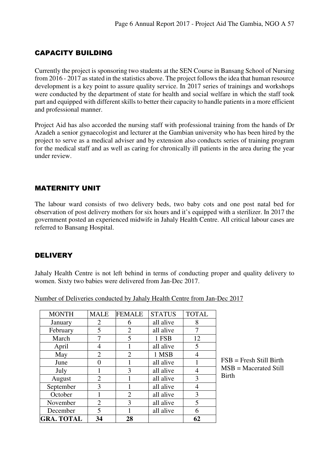#### CAPACITY BUILDING

Currently the project is sponsoring two students at the SEN Course in Bansang School of Nursing from 2016 - 2017 as stated in the statistics above. The project follows the idea that human resource development is a key point to assure quality service. In 2017 series of trainings and workshops were conducted by the department of state for health and social welfare in which the staff took part and equipped with different skills to better their capacity to handle patients in a more efficient and professional manner.

Project Aid has also accorded the nursing staff with professional training from the hands of Dr Azadeh a senior gynaecologist and lecturer at the Gambian university who has been hired by the project to serve as a medical adviser and by extension also conducts series of training program for the medical staff and as well as caring for chronically ill patients in the area during the year under review.

#### MATERNITY UNIT

The labour ward consists of two delivery beds, two baby cots and one post natal bed for observation of post delivery mothers for six hours and it's equipped with a sterilizer. In 2017 the government posted an experienced midwife in Jahaly Health Centre. All critical labour cases are referred to Bansang Hospital.

#### DELIVERY

Jahaly Health Centre is not left behind in terms of conducting proper and quality delivery to women. Sixty two babies were delivered from Jan-Dec 2017.

| <b>GRA. TOTAL</b>          | 34             | 28             |               | 62             |   |
|----------------------------|----------------|----------------|---------------|----------------|---|
| December                   | 5              |                | all alive     | 6              |   |
| $\overline{2}$<br>November |                | 3              | all alive     | 5              |   |
| October                    |                | 2              | all alive     | 3              |   |
| September                  | 3              |                | all alive     | 4              |   |
| August                     | $\overline{2}$ |                | all alive     | 3              | E |
| July                       |                | 3              | all alive     | 4              | N |
| June                       | 0              |                | all alive     |                | F |
| May                        | $\overline{2}$ | $\overline{2}$ | 1 MSB         | $\overline{4}$ |   |
| April                      | 4              |                | all alive     | 5              |   |
| March                      | 7              | 5              | 1 FSB         | 12             |   |
| February                   | 5              | $\overline{2}$ | all alive     | 7              |   |
| January                    | $\overline{2}$ | 6              | all alive     | 8              |   |
| <b>MONTH</b>               | <b>MALE</b>    | <b>FEMALE</b>  | <b>STATUS</b> | <b>TOTAL</b>   |   |

Number of Deliveries conducted by Jahaly Health Centre from Jan-Dec 2017

 $FSB =$  Fresh Still Birth  $MSB = Macerated Still$ Birth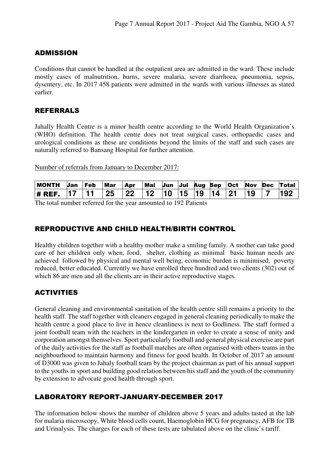#### ADMISSION

Conditions that cannot be handled at the outpatient area are admitted in the ward. These include mostly cases of malnutrition, burns, severe malaria, severe diarrhoea, pneumonia, sepsis, dysentery, etc. In 2017 458 patients were admitted in the wards with various illnesses as stated earlier.

#### REFERRALS

Jahally Health Centre is a minor health centre according to the World Health Organization's (WHO) definition. The health centre does not treat surgical cases, orthopaedic cases and urological conditions as these are conditions beyond the limits of the staff and such cases are naturally referred to Bansang Hospital for further attention.

Number of referrals from January to December 2017:

| <b>MONTH</b> | Jan | Feb | Mar | <b>Apr</b>      | Mai  | Jun | Jul Aug Sep | ∣Oct | <b>Nov</b> | <b>Dec</b> | <b>Total</b> |
|--------------|-----|-----|-----|-----------------|------|-----|-------------|------|------------|------------|--------------|
| $#$ REF.     |     |     | 25  | $\overline{22}$ | . 12 |     |             |      |            |            | 192          |

The total number referred for the year amounted to 192 Patients

#### REPRODUCTIVE AND CHILD HEALTH/BIRTH CONTROL

Healthy children together with a healthy mother make a smiling family. A mother can take good care of her children only when, food, shelter, clothing as minimal basic human needs are achieved followed by physical and mental well being, economic burden is minimised, poverty reduced, better educated. Currently we have enrolled three hundred and two clients (302) out of which 86 are men and all the clients are in their active reproductive stages.

#### **ACTIVITIES**

General cleaning and environmental sanitation of the health centre still remains a priority to the health staff. The staff together with cleaners engaged in general cleaning periodically to make the health centre a good place to live in hence cleanliness is next to Godliness. The staff formed a joint football team with the teachers in the kindergarten in order to create a sense of unity and corporation amongst themselves. Sport particularly football and general physical exercise are part of the daily activities for the staff as football matches are often organised with others teams in the neighbourhood to maintain harmony and fitness for good health. In October of 2017 an amount of D3000 was given to Jahaly football team by the project chairman as part of his annual support to the youths in sport and building good relation between his staff and the youth of the community by extension to advocate good health through sport.

#### LABORATORY REPORT-JANUARY-DECEMBER 2017

The information below shows the number of children above 5 years and adults tasted at the lab for malaria microscopy, White blood cells count, Haemoglobin HCG for pregnancy, AFB for TB and Urinalysis. The charges for each of these tests are tabulated above on the clinic's tariff.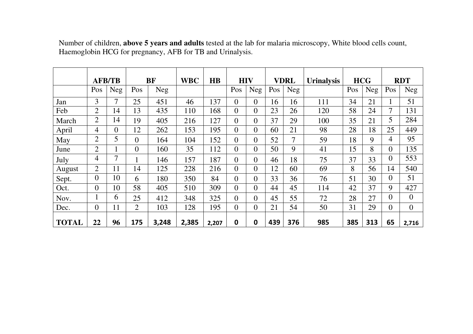|              |                | <b>AFB/TB</b>  |                | <b>BF</b>  | <b>WBC</b> | $\overline{HB}$ | <b>HIV</b>     |                | <b>VDRL</b> |     |     |     | <b>Urinalysis</b> | <b>HCG</b>     |                  | <b>RDT</b> |  |
|--------------|----------------|----------------|----------------|------------|------------|-----------------|----------------|----------------|-------------|-----|-----|-----|-------------------|----------------|------------------|------------|--|
|              | Pos            | <b>Neg</b>     | Pos            | <b>Neg</b> |            |                 | Pos            | Neg            | Pos         | Neg |     | Pos | Neg               | Pos            | Neg              |            |  |
| Jan          | 3              | 7              | 25             | 451        | 46         | 137             | $\theta$       | $\Omega$       | 16          | 16  | 111 | 34  | 21                | 1              | 51               |            |  |
| Feb          | 2              | 14             | 13             | 435        | 110        | 168             | $\theta$       | $\Omega$       | 23          | 26  | 120 | 58  | 24                | 7              | 131              |            |  |
| March        | $\overline{2}$ | 14             | 19             | 405        | 216        | 127             | $\theta$       | $\theta$       | 37          | 29  | 100 | 35  | 21                | 5              | 284              |            |  |
| April        | 4              | $\overline{0}$ | 12             | 262        | 153        | 195             | $\theta$       | $\overline{0}$ | 60          | 21  | 98  | 28  | 18                | 25             | 449              |            |  |
| May          | $\overline{2}$ | 5              | $\theta$       | 164        | 104        | 152             | $\theta$       | $\theta$       | 52          | 7   | 59  | 18  | 9                 | $\overline{4}$ | 95               |            |  |
| June         | $\overline{2}$ |                | $\overline{0}$ | 160        | 35         | 112             | $\theta$       | $\Omega$       | 50          | 9   | 41  | 15  | 8                 | $\overline{0}$ | 135              |            |  |
| July         | 4              | 7              |                | 146        | 157        | 187             | $\theta$       | $\Omega$       | 46          | 18  | 75  | 37  | 33                | $\overline{0}$ | 553              |            |  |
| August       | 2              | 11             | 14             | 125        | 228        | 216             | $\theta$       | $\theta$       | 12          | 60  | 69  | 8   | 56                | 14             | 540              |            |  |
| Sept.        | $\overline{0}$ | 10             | 6              | 180        | 350        | 84              | $\Omega$       | $\Omega$       | 33          | 36  | 76  | 51  | 30                | $\overline{0}$ | 51               |            |  |
| Oct.         | $\overline{0}$ | 10             | 58             | 405        | 510        | 309             | $\Omega$       | $\Omega$       | 44          | 45  | 114 | 42  | 37                | 9              | 427              |            |  |
| Nov.         |                | 6              | 25             | 412        | 348        | 325             | $\Omega$       | $\theta$       | 45          | 55  | 72  | 28  | 27                | $\overline{0}$ | $\overline{0}$   |            |  |
| Dec.         | $\theta$       | 11             | $\overline{2}$ | 103        | 128        | 195             | $\overline{0}$ | $\overline{0}$ | 21          | 54  | 50  | 31  | 29                | $\overline{0}$ | $\boldsymbol{0}$ |            |  |
| <b>TOTAL</b> | 22             | 96             | 175            | 3,248      | 2,385      | 2,207           | 0              | 0              | 439         | 376 | 985 | 385 | 313               | 65             | 2,716            |            |  |

Number of children, **above 5 years and adults** tested at the lab for malaria microscopy, White blood cells count, Haemoglobin HCG for pregnancy, AFB for TB and Urinalysis.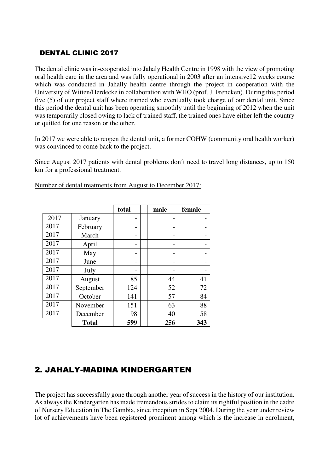#### DENTAL CLINIC 2017

The dental clinic was in-cooperated into Jahaly Health Centre in 1998 with the view of promoting oral health care in the area and was fully operational in 2003 after an intensive12 weeks course which was conducted in Jahally health centre through the project in cooperation with the University of Witten/Herdecke in collaboration with WHO (prof. J. Frencken). During this period five (5) of our project staff where trained who eventually took charge of our dental unit. Since this period the dental unit has been operating smoothly until the beginning of 2012 when the unit was temporarily closed owing to lack of trained staff, the trained ones have either left the country or quitted for one reason or the other.

In 2017 we were able to reopen the dental unit, a former COHW (community oral health worker) was convinced to come back to the project.

Since August 2017 patients with dental problems don´t need to travel long distances, up to 150 km for a professional treatment.

|      |              | total | male | female |
|------|--------------|-------|------|--------|
| 2017 | January      |       |      |        |
| 2017 | February     |       |      |        |
| 2017 | March        |       |      |        |
| 2017 | April        |       |      |        |
| 2017 | May          |       |      |        |
| 2017 | June         |       |      |        |
| 2017 | July         |       |      |        |
| 2017 | August       | 85    | 44   | 41     |
| 2017 | September    | 124   | 52   | 72     |
| 2017 | October      | 141   | 57   | 84     |
| 2017 | November     | 151   | 63   | 88     |
| 2017 | December     | 98    | 40   | 58     |
|      | <b>Total</b> | 599   | 256  | 343    |

Number of dental treatments from August to December 2017:

#### 2. JAHALY-MADINA KINDERGARTEN

The project has successfully gone through another year of success in the history of our institution. As always the Kindergarten has made tremendous strides to claim its rightful position in the cadre of Nursery Education in The Gambia, since inception in Sept 2004. During the year under review lot of achievements have been registered prominent among which is the increase in enrolment,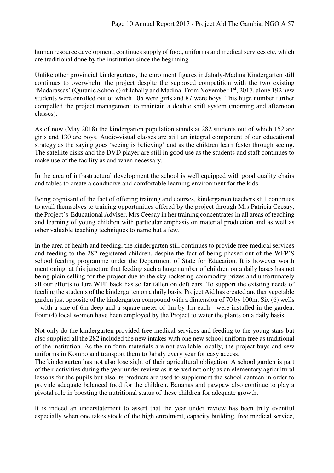human resource development, continues supply of food, uniforms and medical services etc, which are traditional done by the institution since the beginning.

Unlike other provincial kindergartens, the enrolment figures in Jahaly-Madina Kindergarten still continues to overwhelm the project despite the supposed competition with the two existing 'Madarassas' (Quranic Schools) of Jahally and Madina. From November 1<sup>st</sup>, 2017, alone 192 new students were enrolled out of which 105 were girls and 87 were boys. This huge number further compelled the project management to maintain a double shift system (morning and afternoon classes).

As of now (May 2018) the kindergarten population stands at 282 students out of which 152 are girls and 130 are boys. Audio-visual classes are still an integral component of our educational strategy as the saying goes 'seeing is believing' and as the children learn faster through seeing. The satellite disks and the DVD player are still in good use as the students and staff continues to make use of the facility as and when necessary.

In the area of infrastructural development the school is well equipped with good quality chairs and tables to create a conducive and comfortable learning environment for the kids.

Being cognisant of the fact of offering training and courses, kindergarten teachers still continues to avail themselves to training opportunities offered by the project through Mrs Patricia Ceesay, the Project's Educational Adviser. Mrs Ceesay in her training concentrates in all areas of teaching and learning of young children with particular emphasis on material production and as well as other valuable teaching techniques to name but a few.

In the area of health and feeding, the kindergarten still continues to provide free medical services and feeding to the 282 registered children, despite the fact of being phased out of the WFP'S school feeding programme under the Department of State for Education. It is however worth mentioning at this juncture that feeding such a huge number of children on a daily bases has not being plain selling for the project due to the sky rocketing commodity prizes and unfortunately all our efforts to lure WFP back has so far fallen on deft ears. To support the existing needs of feeding the students of the kindergarten on a daily basis, Project Aid has created another vegetable garden just opposite of the kindergarten compound with a dimension of 70 by 100m. Six (6) wells – with a size of 6m deep and a square meter of 1m by 1m each - were installed in the garden. Four (4) local women have been employed by the Project to water the plants on a daily basis.

Not only do the kindergarten provided free medical services and feeding to the young stars but also supplied all the 282 included the new intakes with one new school uniform free as traditional of the institution. As the uniform materials are not available locally, the project buys and sew uniforms in Kombo and transport them to Jahaly every year for easy access.

The kindergarten has not also lose sight of their agricultural obligation. A school garden is part of their activities during the year under review as it served not only as an elementary agricultural lessons for the pupils but also its products are used to supplement the school canteen in order to provide adequate balanced food for the children. Bananas and pawpaw also continue to play a pivotal role in boosting the nutritional status of these children for adequate growth.

It is indeed an understatement to assert that the year under review has been truly eventful especially when one takes stock of the high enrolment, capacity building, free medical service,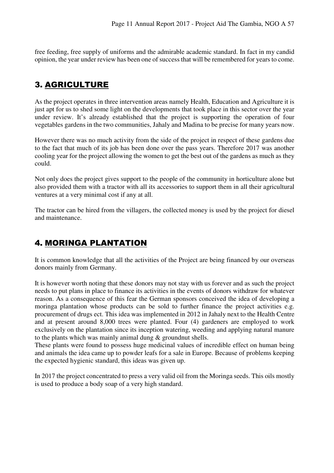free feeding, free supply of uniforms and the admirable academic standard. In fact in my candid opinion, the year under review has been one of success that will be remembered for years to come.

## 3. AGRICULTURE

As the project operates in three intervention areas namely Health, Education and Agriculture it is just apt for us to shed some light on the developments that took place in this sector over the year under review. It's already established that the project is supporting the operation of four vegetables gardens in the two communities, Jahaly and Madina to be precise for many years now.

However there was no much activity from the side of the project in respect of these gardens due to the fact that much of its job has been done over the pass years. Therefore 2017 was another cooling year for the project allowing the women to get the best out of the gardens as much as they could.

Not only does the project gives support to the people of the community in horticulture alone but also provided them with a tractor with all its accessories to support them in all their agricultural ventures at a very minimal cost if any at all.

The tractor can be hired from the villagers, the collected money is used by the project for diesel and maintenance.

### 4. MORINGA PLANTATION

It is common knowledge that all the activities of the Project are being financed by our overseas donors mainly from Germany.

It is however worth noting that these donors may not stay with us forever and as such the project needs to put plans in place to finance its activities in the events of donors withdraw for whatever reason. As a consequence of this fear the German sponsors conceived the idea of developing a moringa plantation whose products can be sold to further finance the project activities e.g. procurement of drugs ect. This idea was implemented in 2012 in Jahaly next to the Health Centre and at present around 8,000 trees were planted. Four (4) gardeners are employed to work exclusively on the plantation since its inception watering, weeding and applying natural manure to the plants which was mainly animal dung & groundnut shells.

These plants were found to possess huge medicinal values of incredible effect on human being and animals the idea came up to powder leafs for a sale in Europe. Because of problems keeping the expected hygienic standard, this ideas was given up.

In 2017 the project concentrated to press a very valid oil from the Moringa seeds. This oils mostly is used to produce a body soap of a very high standard.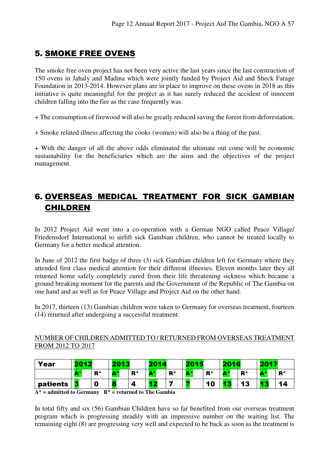# 5. SMOKE FREE OVENS

The smoke free oven project has not been very active the last years since the last construction of 150 ovens in Jahaly and Madina which were jointly funded by Project Aid and Sheck Farage Foundation in 2013-2014. However plans are in place to improve on these ovens in 2018 as this initiative is quite meaningful for the project as it has surely reduced the accident of innocent children falling into the fire as the case frequently was.

+ The consumption of firewood will also be greatly reduced saving the forest from deforestation.

+ Smoke related illness affecting the cooks (women) will also be a thing of the past.

+ With the danger of all the above odds eliminated the ultimate out come will be economic sustainability for the beneficiaries which are the aims and the objectives of the project management.

# 6. OVERSEAS MEDICAL TREATMENT FOR SICK GAMBIAN CHILDREN

In 2012 Project Aid went into a co-operation with a German NGO called Peace Village/ Friedensdorf International to airlift sick Gambian children, who cannot be treated locally to Germany for a better medical attention.

In June of 2012 the first badge of three (3) sick Gambian children left for Germany where they attended first class medical attention for their different illnesses. Eleven months later they all returned home safely completely cured from their life threatening sickness which became a ground breaking moment for the parents and the Government of the Republic of The Gambia on one hand and as well as for Peace Village and Project Aid on the other hand.

In 2017, thirteen (13) Gambian children were taken to Germany for overseas treatment, fourteen (14) returned after undergoing a successful treatment.

#### NUMBER OF CHILDREN ADMITTED TO / RETURNED FROM OVERSEAS TREATMENT FROM 2012 TO 2017

| Year     | 2017 |             | 2013           |             | 2014         |       | 2015                     |                | 2016       |       | 2017              |             |
|----------|------|-------------|----------------|-------------|--------------|-------|--------------------------|----------------|------------|-------|-------------------|-------------|
|          | А*   | ${\bf R}^*$ | <b>COLLAGE</b> | ${\bf R}^*$ | Λ*<br>$\sim$ | $R^*$ | <b>ALC: NO</b><br>$\sim$ | $\mathbf{R}^*$ | <b>A</b> * | $R^*$ | <b>CONTRACTOR</b> | ${\bf R}^*$ |
| patients |      | 0           | r e i<br>œ     |             | 8 M          |       |                          | 10             |            | 13    | $\overline{a}$    | 14          |

**A\* = admitted to Germany R\* = returned to The Gambia** 

In total fifty and six (56) Gambian Children have so far benefited from our overseas treatment program which is progressing steadily with an impressive number on the waiting list. The remaining eight (8) are progressing very well and expected to be back as soon as the treatment is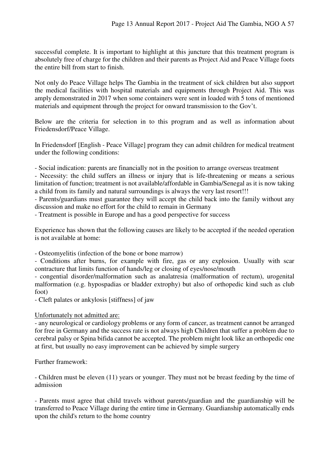successful complete. It is important to highlight at this juncture that this treatment program is absolutely free of charge for the children and their parents as Project Aid and Peace Village foots the entire bill from start to finish.

Not only do Peace Village helps The Gambia in the treatment of sick children but also support the medical facilities with hospital materials and equipments through Project Aid. This was amply demonstrated in 2017 when some containers were sent in loaded with 5 tons of mentioned materials and equipment through the project for onward transmission to the Gov't.

Below are the criteria for selection in to this program and as well as information about Friedensdorf/Peace Village.

In Friedensdorf [English - Peace Village] program they can admit children for medical treatment under the following conditions:

- Social indication: parents are financially not in the position to arrange overseas treatment

- Necessity: the child suffers an illness or injury that is life-threatening or means a serious limitation of function; treatment is not available/affordable in Gambia/Senegal as it is now taking a child from its family and natural surroundings is always the very last resort!!!

- Parents/guardians must guarantee they will accept the child back into the family without any discussion and make no effort for the child to remain in Germany

- Treatment is possible in Europe and has a good perspective for success

Experience has shown that the following causes are likely to be accepted if the needed operation is not available at home:

- Osteomyelitis (infection of the bone or bone marrow)

- Conditions after burns, for example with fire, gas or any explosion. Usually with scar contracture that limits function of hands/leg or closing of eyes/nose/mouth

- congential disorder/malformation such as analatresia (malformation of rectum), urogenital malformation (e.g. hypospadias or bladder extrophy) but also of orthopedic kind such as club foot)

- Cleft palates or ankylosis [stiffness] of jaw

#### Unfortunately not admitted are:

- any neurological or cardiology problems or any form of cancer, as treatment cannot be arranged for free in Germany and the success rate is not always high Children that suffer a problem due to cerebral palsy or Spina bifida cannot be accepted. The problem might look like an orthopedic one at first, but usually no easy improvement can be achieved by simple surgery

Further framework:

- Children must be eleven (11) years or younger. They must not be breast feeding by the time of admission

- Parents must agree that child travels without parents/guardian and the guardianship will be transferred to Peace Village during the entire time in Germany. Guardianship automatically ends upon the child's return to the home country